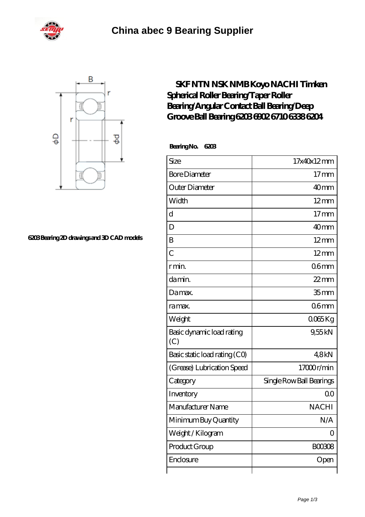



## **[6203 Bearing 2D drawings and 3D CAD models](https://m.michelletroutman.com/pic-65287478.html)**

## **[SKF NTN NSK NMB Koyo NACHI Timken](https://m.michelletroutman.com/koyo-6204-c4-bearing/65287478.html) [Spherical Roller Bearing/Taper Roller](https://m.michelletroutman.com/koyo-6204-c4-bearing/65287478.html) [Bearing/Angular Contact Ball Bearing/Deep](https://m.michelletroutman.com/koyo-6204-c4-bearing/65287478.html) [Groove Ball Bearing 6203 6902 6710 6338 6204](https://m.michelletroutman.com/koyo-6204-c4-bearing/65287478.html)**

 **Bearing No. 6203**

| Size                             | 17x40x12mm               |
|----------------------------------|--------------------------|
| <b>Bore Diameter</b>             | $17$ mm                  |
| Outer Diameter                   | 40 <sub>mm</sub>         |
| Width                            | $12 \text{mm}$           |
| $\mathbf d$                      | 17 <sub>mm</sub>         |
| D                                | 40mm                     |
| B                                | $12 \text{mm}$           |
| $\overline{C}$                   | $12 \text{mm}$           |
| r min.                           | 06 <sub>mm</sub>         |
| da min.                          | $22$ mm                  |
| Damax.                           | 35 <sub>mm</sub>         |
| ra max.                          | 06 <sub>mm</sub>         |
| Weight                           | 0065Kg                   |
| Basic dynamic load rating<br>(C) | 9,55kN                   |
| Basic static load rating (CO)    | 48kN                     |
| (Grease) Lubrication Speed       | 17000r/min               |
| Category                         | Single Row Ball Bearings |
| Inventory                        | 0 <sup>0</sup>           |
| Manufacturer Name                | <b>NACHI</b>             |
| Minimum Buy Quantity             | N/A                      |
| Weight / Kilogram                | $\Omega$                 |
| Product Group                    | <b>BOO3O8</b>            |
| Enclosure                        | Open                     |
|                                  |                          |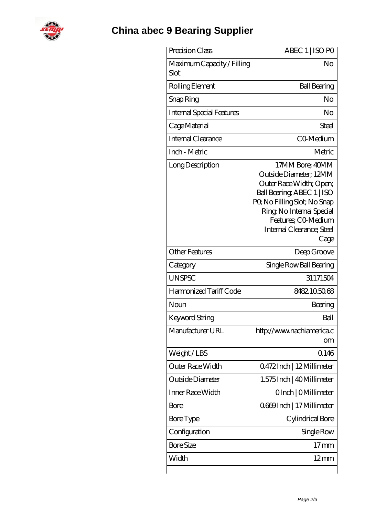

| Precision Class                    | ABEC 1   ISO PO                                                                                                                                                                                                            |
|------------------------------------|----------------------------------------------------------------------------------------------------------------------------------------------------------------------------------------------------------------------------|
| Maximum Capacity / Filling<br>Slot | No                                                                                                                                                                                                                         |
| Rolling Element                    | <b>Ball Bearing</b>                                                                                                                                                                                                        |
| Snap Ring                          | No                                                                                                                                                                                                                         |
| Internal Special Features          | No                                                                                                                                                                                                                         |
| Cage Material                      | Steel                                                                                                                                                                                                                      |
| Internal Clearance                 | CO-Medium                                                                                                                                                                                                                  |
| Inch - Metric                      | Metric                                                                                                                                                                                                                     |
| Long Description                   | 17MM Bore; 40MM<br>Outside Diameter; 12MM<br>Outer Race Width; Open;<br>Ball Bearing, ABEC 1   ISO<br>PQ No Filling Slot; No Snap<br>Ring, No Internal Special<br>Features; CO-Medium<br>Internal Clearance; Steel<br>Cage |
| <b>Other Features</b>              | Deep Groove                                                                                                                                                                                                                |
| Category                           | Single Row Ball Bearing                                                                                                                                                                                                    |
| <b>UNSPSC</b>                      | 31171504                                                                                                                                                                                                                   |
| Harmonized Tariff Code             | 8482.105068                                                                                                                                                                                                                |
| Noun                               | Bearing                                                                                                                                                                                                                    |
| Keyword String                     | Ball                                                                                                                                                                                                                       |
| Manufacturer URL                   | http://www.nachiamerica.c<br>om                                                                                                                                                                                            |
| Weight/LBS                         | 0.146                                                                                                                                                                                                                      |
| Outer Race Width                   | Q472Inch   12Millimeter                                                                                                                                                                                                    |
| Outside Diameter                   | 1.575 Inch   40 Millimeter                                                                                                                                                                                                 |
| Inner Race Width                   | OInch   OMillimeter                                                                                                                                                                                                        |
| <b>Bore</b>                        | 0669Inch   17 Millimeter                                                                                                                                                                                                   |
| <b>Bore Type</b>                   | Cylindrical Bore                                                                                                                                                                                                           |
| Configuration                      | Single Row                                                                                                                                                                                                                 |
| <b>Bore Size</b>                   | $17 \text{mm}$                                                                                                                                                                                                             |
| Width                              | $12 \text{mm}$                                                                                                                                                                                                             |
|                                    |                                                                                                                                                                                                                            |